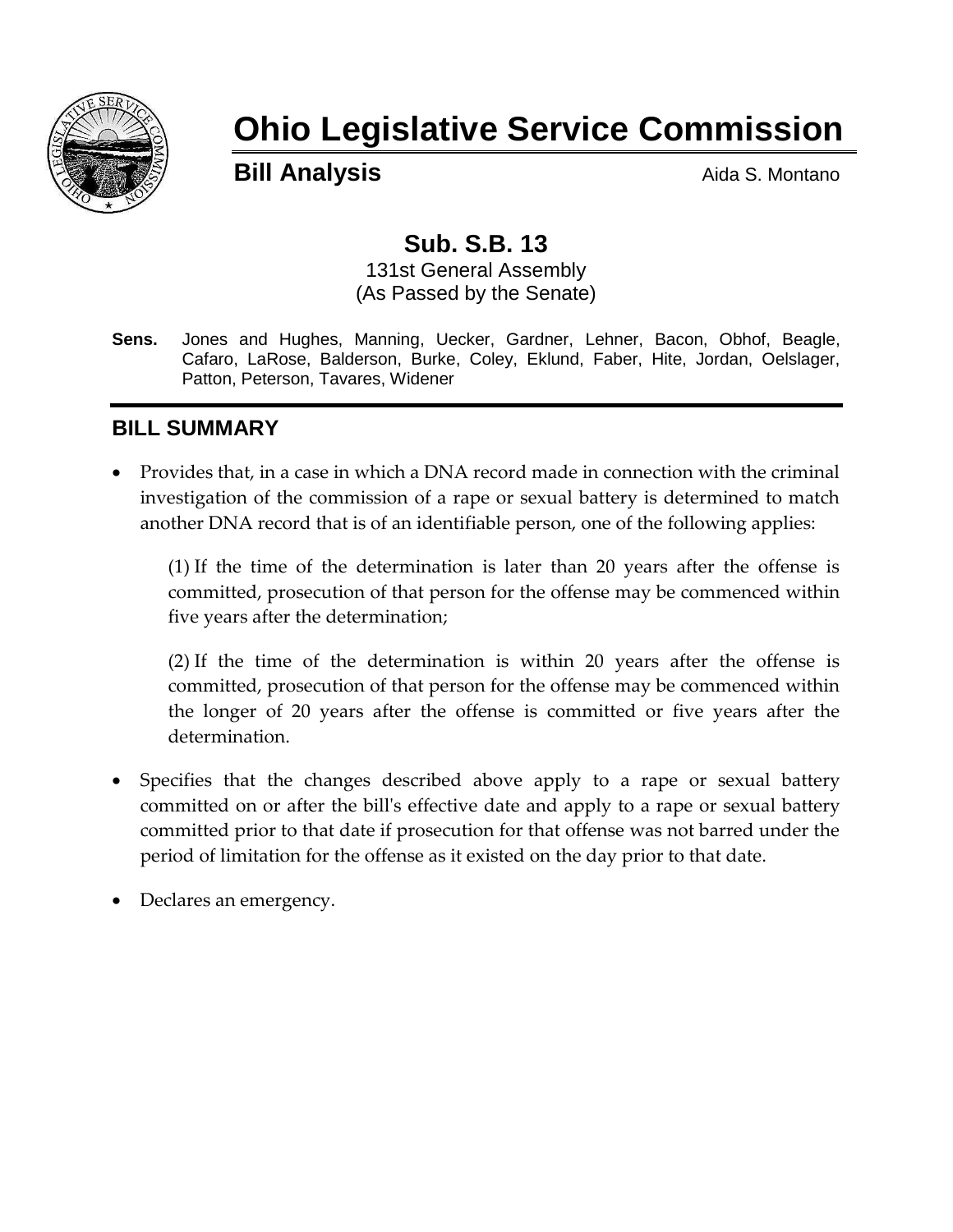

# **Ohio Legislative Service Commission**

**Bill Analysis Aida S. Montano** 

## **Sub. S.B. 13**

131st General Assembly (As Passed by the Senate)

**Sens.** Jones and Hughes, Manning, Uecker, Gardner, Lehner, Bacon, Obhof, Beagle, Cafaro, LaRose, Balderson, Burke, Coley, Eklund, Faber, Hite, Jordan, Oelslager, Patton, Peterson, Tavares, Widener

#### **BILL SUMMARY**

 Provides that, in a case in which a DNA record made in connection with the criminal investigation of the commission of a rape or sexual battery is determined to match another DNA record that is of an identifiable person, one of the following applies:

(1) If the time of the determination is later than 20 years after the offense is committed, prosecution of that person for the offense may be commenced within five years after the determination;

(2) If the time of the determination is within 20 years after the offense is committed, prosecution of that person for the offense may be commenced within the longer of 20 years after the offense is committed or five years after the determination.

- Specifies that the changes described above apply to a rape or sexual battery committed on or after the bill's effective date and apply to a rape or sexual battery committed prior to that date if prosecution for that offense was not barred under the period of limitation for the offense as it existed on the day prior to that date.
- Declares an emergency.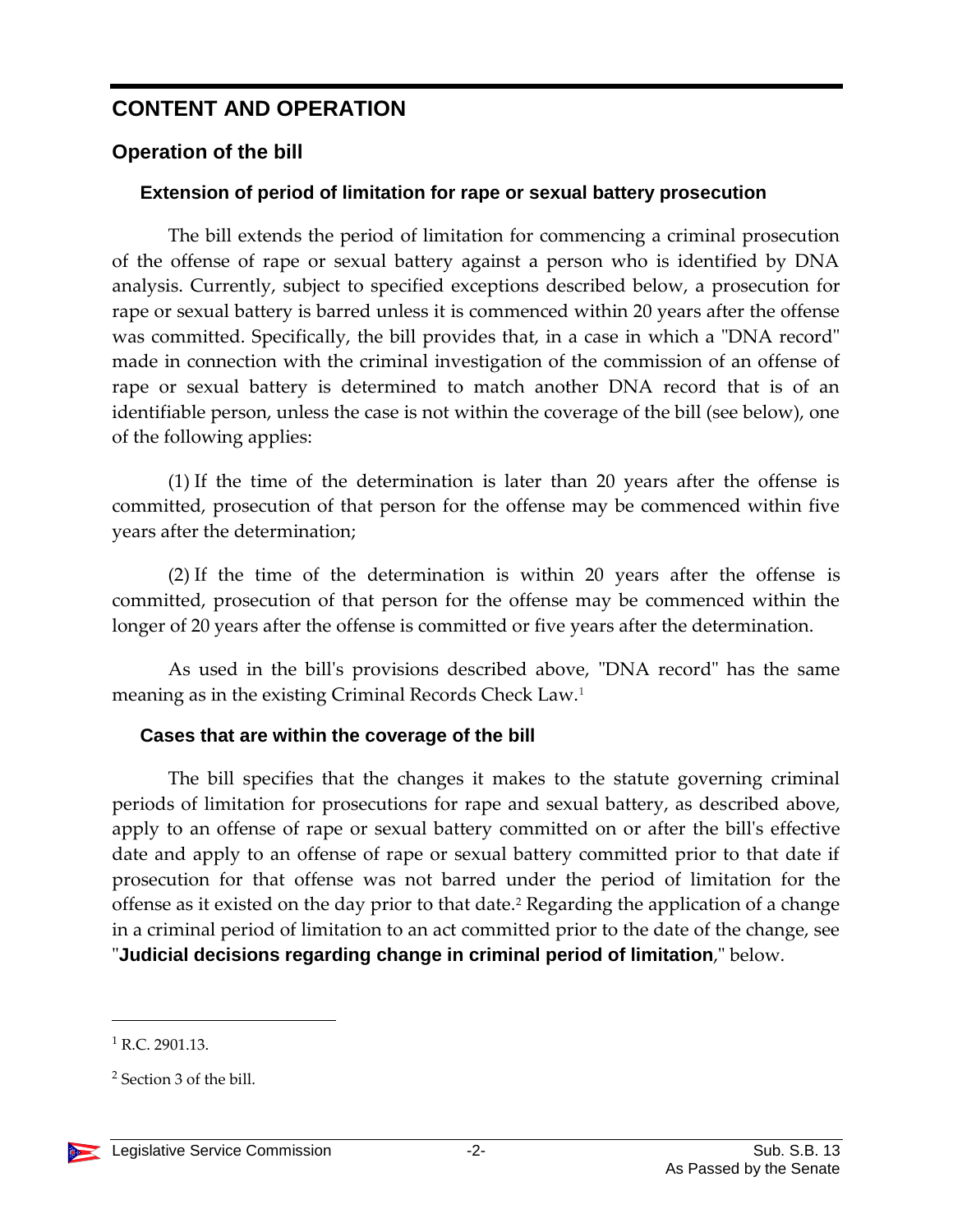### **CONTENT AND OPERATION**

#### **Operation of the bill**

#### **Extension of period of limitation for rape or sexual battery prosecution**

The bill extends the period of limitation for commencing a criminal prosecution of the offense of rape or sexual battery against a person who is identified by DNA analysis. Currently, subject to specified exceptions described below, a prosecution for rape or sexual battery is barred unless it is commenced within 20 years after the offense was committed. Specifically, the bill provides that, in a case in which a "DNA record" made in connection with the criminal investigation of the commission of an offense of rape or sexual battery is determined to match another DNA record that is of an identifiable person, unless the case is not within the coverage of the bill (see below), one of the following applies:

(1) If the time of the determination is later than 20 years after the offense is committed, prosecution of that person for the offense may be commenced within five years after the determination;

(2) If the time of the determination is within 20 years after the offense is committed, prosecution of that person for the offense may be commenced within the longer of 20 years after the offense is committed or five years after the determination.

As used in the bill's provisions described above, "DNA record" has the same meaning as in the existing Criminal Records Check Law.<sup>1</sup>

#### **Cases that are within the coverage of the bill**

The bill specifies that the changes it makes to the statute governing criminal periods of limitation for prosecutions for rape and sexual battery, as described above, apply to an offense of rape or sexual battery committed on or after the bill's effective date and apply to an offense of rape or sexual battery committed prior to that date if prosecution for that offense was not barred under the period of limitation for the offense as it existed on the day prior to that date.<sup>2</sup> Regarding the application of a change in a criminal period of limitation to an act committed prior to the date of the change, see "**Judicial decisions regarding change in criminal period of limitation**," below.

 $\overline{a}$ 

 $1$  R.C. 2901.13.

<sup>2</sup> Section 3 of the bill.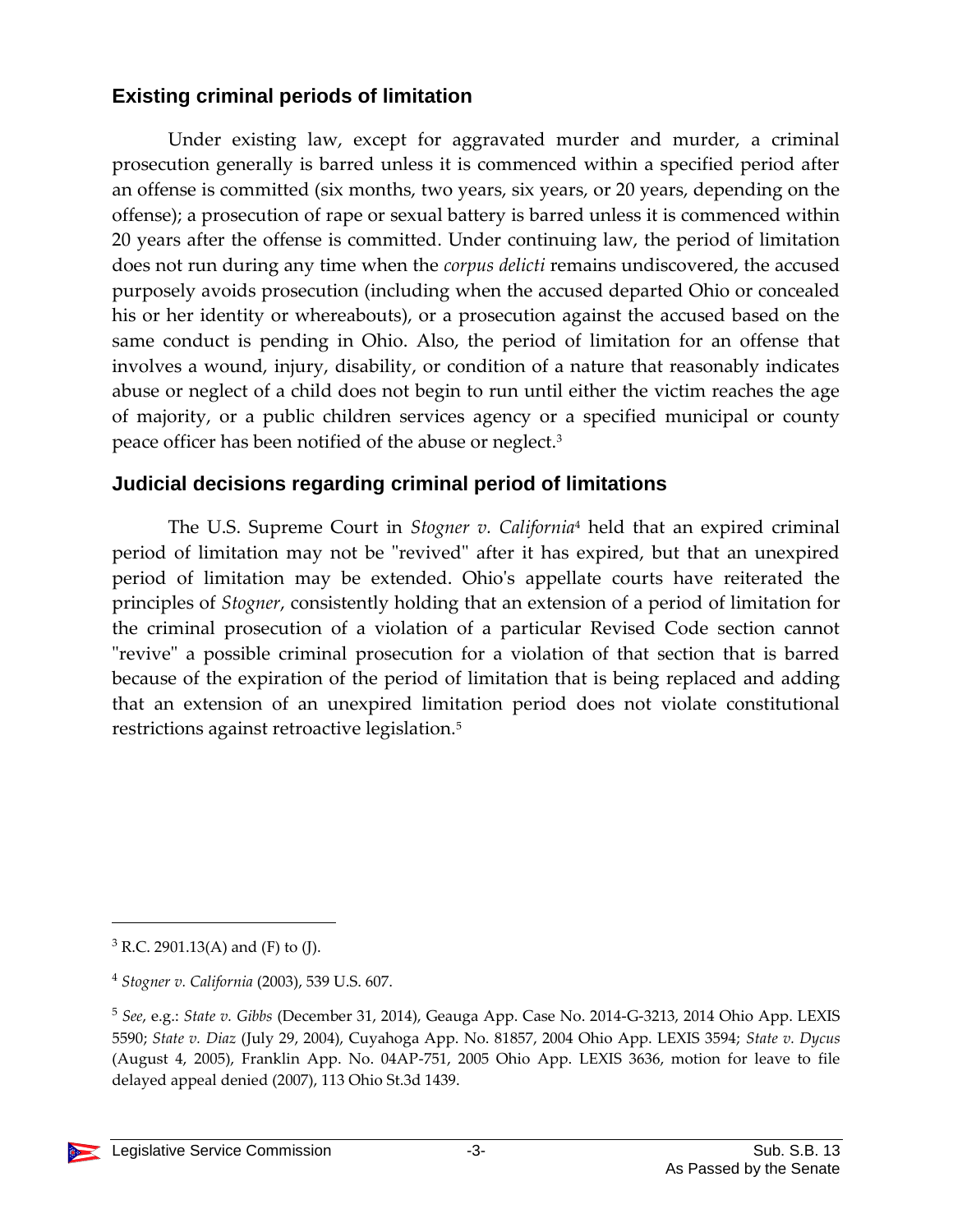#### **Existing criminal periods of limitation**

Under existing law, except for aggravated murder and murder, a criminal prosecution generally is barred unless it is commenced within a specified period after an offense is committed (six months, two years, six years, or 20 years, depending on the offense); a prosecution of rape or sexual battery is barred unless it is commenced within 20 years after the offense is committed. Under continuing law, the period of limitation does not run during any time when the *corpus delicti* remains undiscovered, the accused purposely avoids prosecution (including when the accused departed Ohio or concealed his or her identity or whereabouts), or a prosecution against the accused based on the same conduct is pending in Ohio. Also, the period of limitation for an offense that involves a wound, injury, disability, or condition of a nature that reasonably indicates abuse or neglect of a child does not begin to run until either the victim reaches the age of majority, or a public children services agency or a specified municipal or county peace officer has been notified of the abuse or neglect.<sup>3</sup>

#### **Judicial decisions regarding criminal period of limitations**

The U.S. Supreme Court in *Stogner v. California*<sup>4</sup> held that an expired criminal period of limitation may not be "revived" after it has expired, but that an unexpired period of limitation may be extended. Ohio's appellate courts have reiterated the principles of *Stogner*, consistently holding that an extension of a period of limitation for the criminal prosecution of a violation of a particular Revised Code section cannot "revive" a possible criminal prosecution for a violation of that section that is barred because of the expiration of the period of limitation that is being replaced and adding that an extension of an unexpired limitation period does not violate constitutional restrictions against retroactive legislation.<sup>5</sup>

<sup>5</sup> *See*, e.g.: *State v. Gibbs* (December 31, 2014), Geauga App. Case No. 2014-G-3213, 2014 Ohio App. LEXIS 5590; *State v. Diaz* (July 29, 2004), Cuyahoga App. No. 81857, 2004 Ohio App. LEXIS 3594; *State v. Dycus*  (August 4, 2005), Franklin App. No. 04AP-751, 2005 Ohio App. LEXIS 3636, motion for leave to file delayed appeal denied (2007), 113 Ohio St.3d 1439.



 $\overline{a}$ 

 $3$  R.C. 2901.13(A) and (F) to (J).

<sup>4</sup> *Stogner v. California* (2003), 539 U.S. 607.